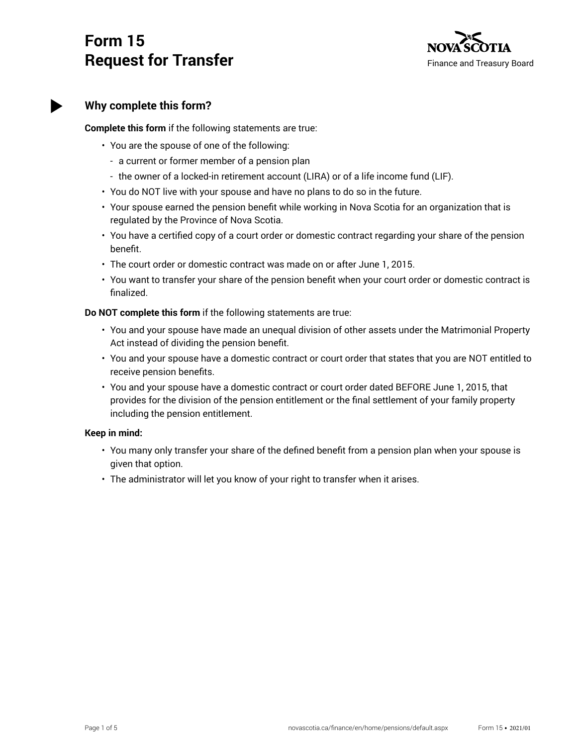# **Form 15 Request for Transfer**



## **Why complete this form?**

**Complete this form** if the following statements are true:

- You are the spouse of one of the following:
	- a current or former member of a pension plan
	- the owner of a locked-in retirement account (LIRA) or of a life income fund (LIF).
- You do NOT live with your spouse and have no plans to do so in the future.
- Your spouse earned the pension benefit while working in Nova Scotia for an organization that is regulated by the Province of Nova Scotia.
- You have a certified copy of a court order or domestic contract regarding your share of the pension benefit.
- The court order or domestic contract was made on or after June 1, 2015.
- You want to transfer your share of the pension benefit when your court order or domestic contract is finalized.

**Do NOT complete this form** if the following statements are true:

- You and your spouse have made an unequal division of other assets under the Matrimonial Property Act instead of dividing the pension benefit.
- You and your spouse have a domestic contract or court order that states that you are NOT entitled to receive pension benefits.
- You and your spouse have a domestic contract or court order dated BEFORE June 1, 2015, that provides for the division of the pension entitlement or the final settlement of your family property including the pension entitlement.

#### **Keep in mind:**

- You many only transfer your share of the defined benefit from a pension plan when your spouse is given that option.
- The administrator will let you know of your right to transfer when it arises.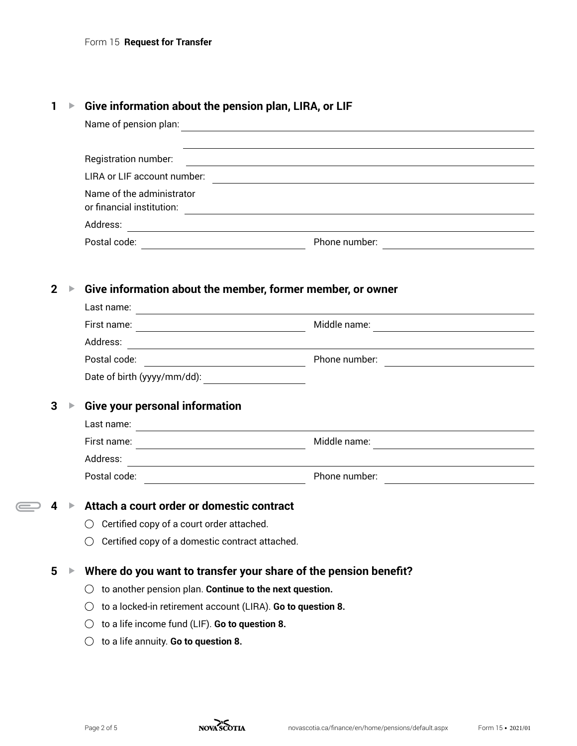## **1 ▶ Give information about the pension plan, LIRA, or LIF**

|   | Name of pension plan:                                                                                                            | <u> 1989 - Johann Stoff, deutscher Stoff, der Stoff, der Stoff, der Stoff, der Stoff, der Stoff, der Stoff, der S</u>                                                                                                         |
|---|----------------------------------------------------------------------------------------------------------------------------------|-------------------------------------------------------------------------------------------------------------------------------------------------------------------------------------------------------------------------------|
|   | Registration number:                                                                                                             | the control of the control of the control of the control of the control of the control of the control of the control of the control of the control of the control of the control of the control of the control of the control |
|   | LIRA or LIF account number:                                                                                                      | <u> 1980 - Andrea Station Barbara, amerikan personal (h. 1980).</u>                                                                                                                                                           |
|   | Name of the administrator                                                                                                        |                                                                                                                                                                                                                               |
|   |                                                                                                                                  |                                                                                                                                                                                                                               |
|   |                                                                                                                                  |                                                                                                                                                                                                                               |
| 2 | Give information about the member, former member, or owner                                                                       |                                                                                                                                                                                                                               |
|   |                                                                                                                                  |                                                                                                                                                                                                                               |
|   |                                                                                                                                  |                                                                                                                                                                                                                               |
|   | Address:<br><u> 1989 - Johann Barn, fransk politik amerikansk politik (</u>                                                      |                                                                                                                                                                                                                               |
|   |                                                                                                                                  |                                                                                                                                                                                                                               |
|   |                                                                                                                                  |                                                                                                                                                                                                                               |
| 3 | <b>Give your personal information</b>                                                                                            |                                                                                                                                                                                                                               |
|   | Last name:<br><u> 1980 - Andrea Station Barbara, amerikan personal (h. 1980)</u>                                                 |                                                                                                                                                                                                                               |
|   |                                                                                                                                  | Middle name:<br><u> 1989 - Johann Barbara, martxa eta idazlea (h. 1989).</u>                                                                                                                                                  |
|   | Address:<br><u> 1989 - Johann Stein, marwolaethau a bhann an t-Amhain an t-Amhain an t-Amhain an t-Amhain an t-Amhain an t-A</u> |                                                                                                                                                                                                                               |
|   |                                                                                                                                  | Phone number:                                                                                                                                                                                                                 |
| 4 | Attach a court order or domestic contract                                                                                        |                                                                                                                                                                                                                               |
|   | Certified copy of a court order attached.                                                                                        |                                                                                                                                                                                                                               |
|   | Certified copy of a domestic contract attached.                                                                                  |                                                                                                                                                                                                                               |
|   |                                                                                                                                  |                                                                                                                                                                                                                               |
|   | Where do you want to transfer your share of the pension benefit?                                                                 |                                                                                                                                                                                                                               |
|   | to another pension plan. Continue to the next question.                                                                          |                                                                                                                                                                                                                               |
|   | to a locked-in retirement account (LIRA). Go to question 8.<br>( )                                                               |                                                                                                                                                                                                                               |
| 5 | to a life income fund (LIF). Go to question 8.                                                                                   |                                                                                                                                                                                                                               |

 $\bigoplus$ 

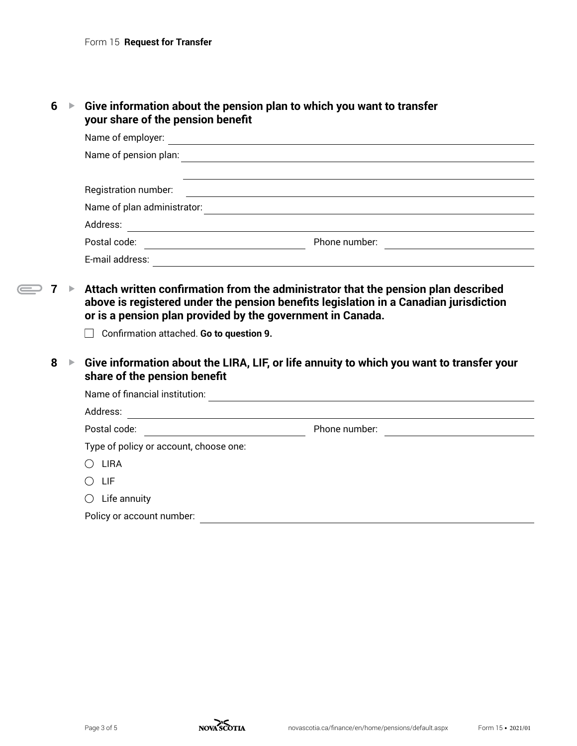|  |  | $6 \rightarrow$ Give information about the pension plan to which you want to transfer |
|--|--|---------------------------------------------------------------------------------------|
|  |  | your share of the pension benefit                                                     |

| Name of employer:           |               |  |  |  |  |
|-----------------------------|---------------|--|--|--|--|
| Name of pension plan:       |               |  |  |  |  |
|                             |               |  |  |  |  |
| Registration number:        |               |  |  |  |  |
| Name of plan administrator: |               |  |  |  |  |
| Address:                    |               |  |  |  |  |
| Postal code:                | Phone number: |  |  |  |  |
| E-mail address:             |               |  |  |  |  |

- ◯ 7 Attach written confirmation from the administrator that the pension plan described **above is registered under the pension benefits legislation in a Canadian jurisdiction or is a pension plan provided by the government in Canada.**
	- Confirmation attached. **Go to question 9.**
	- **8** ► Give information about the LIRA, LIF, or life annuity to which you want to transfer your **share of the pension benefit**

| Name of financial institution:         |               |  |  |  |  |
|----------------------------------------|---------------|--|--|--|--|
| Address:                               |               |  |  |  |  |
| Postal code:                           | Phone number: |  |  |  |  |
| Type of policy or account, choose one: |               |  |  |  |  |
| <b>LIRA</b>                            |               |  |  |  |  |
| LIF                                    |               |  |  |  |  |
| Life annuity<br>$\bigcirc$             |               |  |  |  |  |
| Policy or account number:              |               |  |  |  |  |

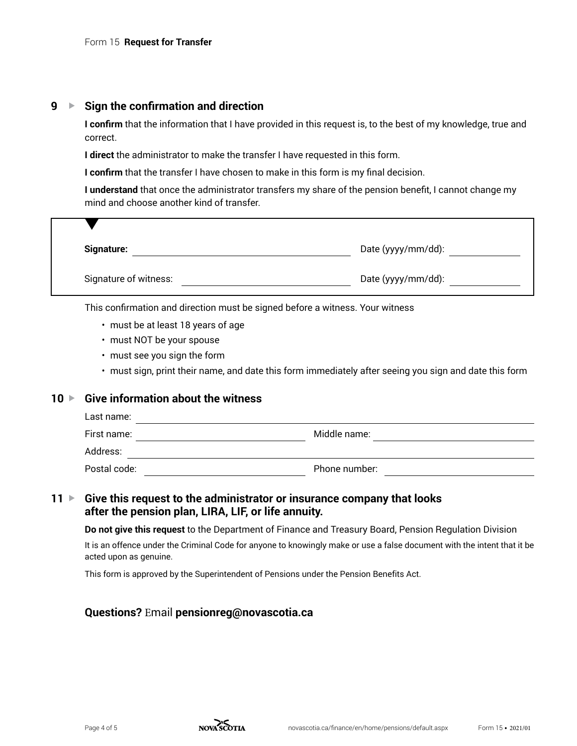### **9 ▶ Sign the confirmation and direction**

**I confirm** that the information that I have provided in this request is, to the best of my knowledge, true and correct.

**I direct** the administrator to make the transfer I have requested in this form.

**I confirm** that the transfer I have chosen to make in this form is my final decision.

**I understand** that once the administrator transfers my share of the pension benefit, I cannot change my mind and choose another kind of transfer.

| <b>Signature:</b>     | Date (yyyy/mm/dd): |
|-----------------------|--------------------|
| Signature of witness: | Date (yyyy/mm/dd): |

This confirmation and direction must be signed before a witness. Your witness

- must be at least 18 years of age
- must NOT be your spouse
- must see you sign the form
- must sign, print their name, and date this form immediately after seeing you sign and date this form

#### **10** ► Give information about the witness

| Last name:   |               |  |
|--------------|---------------|--|
| First name:  | Middle name:  |  |
| Address:     |               |  |
| Postal code: | Phone number: |  |

**11** ► Give this request to the administrator or insurance company that looks **after the pension plan, LIRA, LIF, or life annuity.**

**Do not give this request** to the Department of Finance and Treasury Board, Pension Regulation Division

It is an offence under the Criminal Code for anyone to knowingly make or use a false document with the intent that it be acted upon as genuine.

This form is approved by the Superintendent of Pensions under the Pension Benefits Act.

#### **Questions?** Email **pensionreg@novascotia.ca**